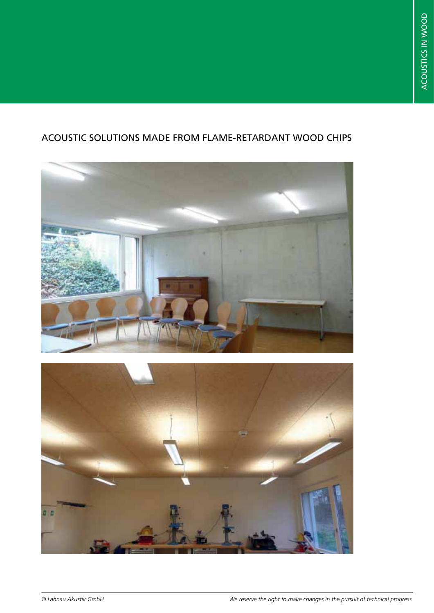### ACOUSTIC SOLUTIONS MADE FROM FLAME-RETARDANT WOOD CHIPS



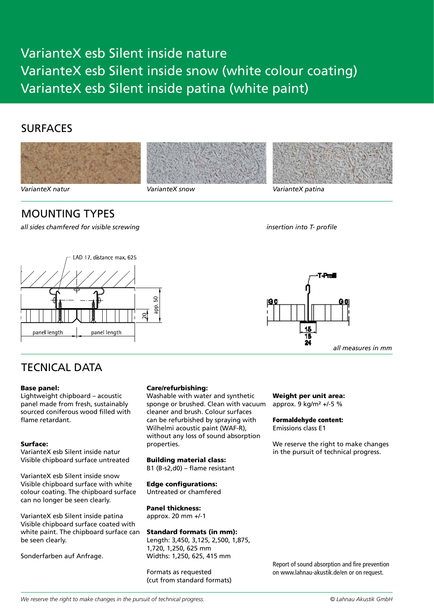# VarianteX esb Silent inside nature VarianteX esb Silent inside snow (white colour coating) VarianteX esb Silent inside patina (white paint)

### **SURFACES**





*VarianteX snow VarianteX patina*



*VarianteX natur*

## MOUNTING TYPES

*all sides chamfered for visible screwing insertion into T- profile* 







## TECNICAL DATA

#### Base panel:

Lightweight chipboard – acoustic panel made from fresh, sustainably sourced coniferous wood filled with flame retardant.

#### Surface:

VarianteX esb Silent inside natur Visible chipboard surface untreated

VarianteX esb Silent inside snow Visible chipboard surface with white colour coating. The chipboard surface can no longer be seen clearly.

VarianteX esb Silent inside patina Visible chipboard surface coated with white paint. The chipboard surface can be seen clearly.

Sonderfarben auf Anfrage.

#### Care/refurbishing:

Washable with water and synthetic sponge or brushed. Clean with vacuum cleaner and brush. Colour surfaces can be refurbished by spraying with Wilhelmi acoustic paint (WAF-R), without any loss of sound absorption properties.

#### Building material class:

B1 (B-s2,d0) – flame resistant

#### Edge configurations:

Untreated or chamfered

#### Panel thickness:

approx. 20 mm +/-1

#### Standard formats (in mm):

Length: 3,450, 3,125, 2,500, 1,875, 1,720, 1,250, 625 mm Widths: 1,250, 625, 415 mm

Formats as requested (cut from standard formats)

#### Weight per unit area:

approx.  $9 \text{ ka/m}^2$  +/-5 %

Formaldehyde content: Emissions class E1

We reserve the right to make changes in the pursuit of technical progress.

Report of sound absorption and fire prevention on www.lahnau-akustik.de/en or on request.